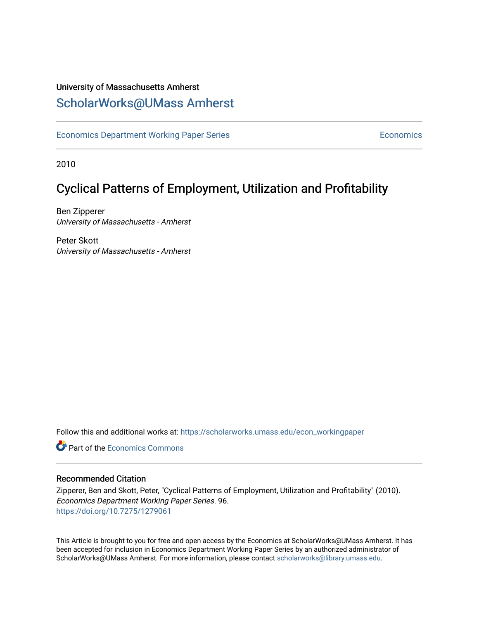### University of Massachusetts Amherst [ScholarWorks@UMass Amherst](https://scholarworks.umass.edu/)

[Economics Department Working Paper Series](https://scholarworks.umass.edu/econ_workingpaper) **Economics** Economics

2010

### Cyclical Patterns of Employment, Utilization and Profitability

Ben Zipperer University of Massachusetts - Amherst

Peter Skott University of Massachusetts - Amherst

Follow this and additional works at: [https://scholarworks.umass.edu/econ\\_workingpaper](https://scholarworks.umass.edu/econ_workingpaper?utm_source=scholarworks.umass.edu%2Fecon_workingpaper%2F96&utm_medium=PDF&utm_campaign=PDFCoverPages) 

**C** Part of the [Economics Commons](http://network.bepress.com/hgg/discipline/340?utm_source=scholarworks.umass.edu%2Fecon_workingpaper%2F96&utm_medium=PDF&utm_campaign=PDFCoverPages)

#### Recommended Citation

Zipperer, Ben and Skott, Peter, "Cyclical Patterns of Employment, Utilization and Profitability" (2010). Economics Department Working Paper Series. 96. <https://doi.org/10.7275/1279061>

This Article is brought to you for free and open access by the Economics at ScholarWorks@UMass Amherst. It has been accepted for inclusion in Economics Department Working Paper Series by an authorized administrator of ScholarWorks@UMass Amherst. For more information, please contact [scholarworks@library.umass.edu.](mailto:scholarworks@library.umass.edu)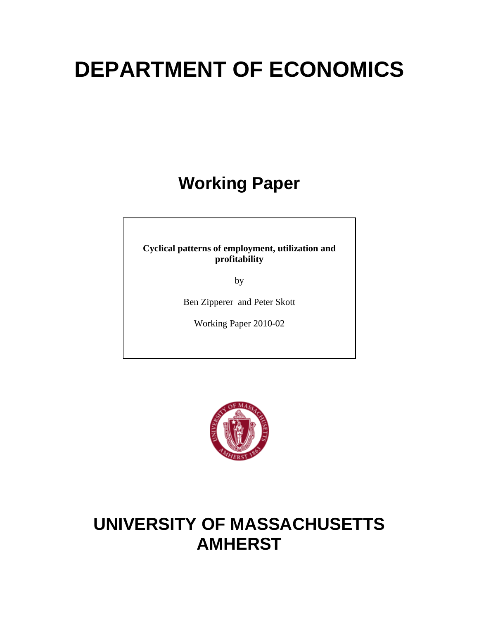# **DEPARTMENT OF ECONOMICS**

# **Working Paper**

**Cyclical patterns of employment, utilization and profitability** 

by

Ben Zipperer and Peter Skott

Working Paper 2010-02



# **UNIVERSITY OF MASSACHUSETTS AMHERST**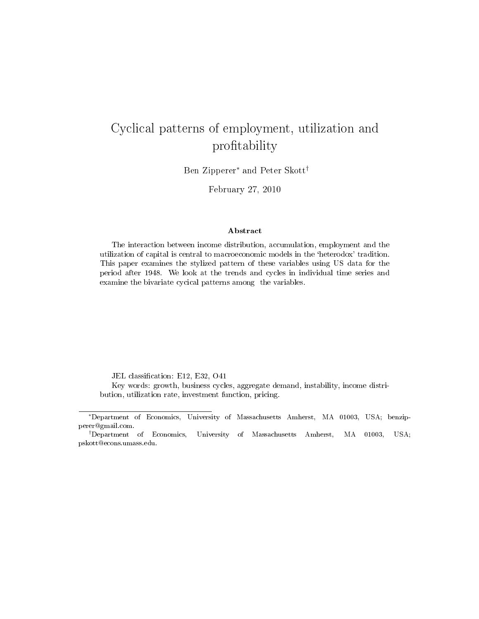### Cyclical patterns of employment, utilization and profitability

Ben Zipperer<sup>∗</sup> and Peter Skott†

February 27, 2010

#### Abstract

The interaction between income distribution, accumulation, employment and the utilization of capital is central to macroeconomic models in the `heterodox' tradition. This paper examines the stylized pattern of these variables using US data for the period after 1948. We look at the trends and cycles in individual time series and examine the bivariate cycical patterns among the variables.

JEL classification: E12, E32, O41

Key words: growth, business cycles, aggregate demand, instability, income distribution, utilization rate, investment function, pricing.

<sup>∗</sup>Department of Economics, University of Massachusetts Amherst, MA 01003, USA; benzipperer@gmail.com.

<sup>†</sup>Department of Economics, University of Massachusetts Amherst, MA 01003, USA; pskott@econs.umass.edu.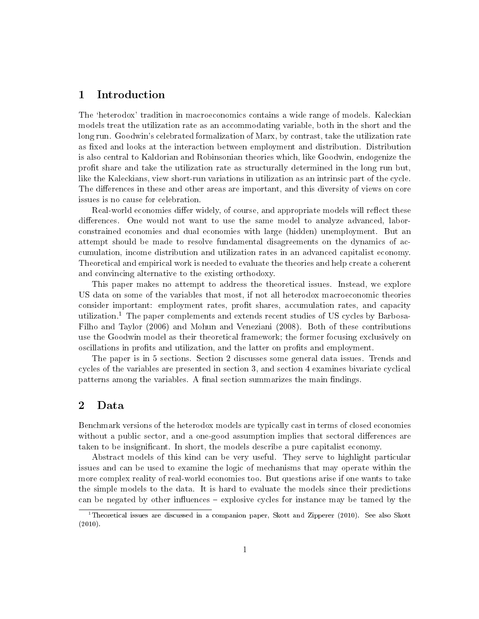#### 1 Introduction

The 'heterodox' tradition in macroeconomics contains a wide range of models. Kaleckian models treat the utilization rate as an accommodating variable, both in the short and the long run. Goodwin's celebrated formalization of Marx, by contrast, take the utilization rate as fixed and looks at the interaction between employment and distribution. Distribution is also central to Kaldorian and Robinsonian theories which, like Goodwin, endogenize the profit share and take the utilization rate as structurally determined in the long run but, like the Kaleckians, view short-run variations in utilization as an intrinsic part of the cycle. The differences in these and other areas are important, and this diversity of views on core issues is no cause for celebration.

Real-world economies differ widely, of course, and appropriate models will reflect these differences. One would not want to use the same model to analyze advanced, laborconstrained economies and dual economies with large (hidden) unemployment. But an attempt should be made to resolve fundamental disagreements on the dynamics of accumulation, income distribution and utilization rates in an advanced capitalist economy. Theoretical and empirical work is needed to evaluate the theories and help create a coherent and convincing alternative to the existing orthodoxy.

This paper makes no attempt to address the theoretical issues. Instead, we explore US data on some of the variables that most, if not all heterodox macroeconomic theories consider important: employment rates, profit shares, accumulation rates, and capacity utilization.<sup>1</sup> The paper complements and extends recent studies of US cycles by Barbosa-Filho and Taylor (2006) and Mohun and Veneziani (2008). Both of these contributions use the Goodwin model as their theoretical framework; the former focusing exclusively on oscillations in profits and utilization, and the latter on profits and employment.

The paper is in 5 sections. Section 2 discusses some general data issues. Trends and cycles of the variables are presented in section 3, and section 4 examines bivariate cyclical patterns among the variables. A final section summarizes the main findings.

#### 2 Data

Benchmark versions of the heterodox models are typically cast in terms of closed economies without a public sector, and a one-good assumption implies that sectoral differences are taken to be insignicant. In short, the models describe a pure capitalist economy.

Abstract models of this kind can be very useful. They serve to highlight particular issues and can be used to examine the logic of mechanisms that may operate within the more complex reality of real-world economies too. But questions arise if one wants to take the simple models to the data. It is hard to evaluate the models since their predictions can be negated by other influences  $-$  explosive cycles for instance may be tamed by the

<sup>&</sup>lt;sup>1</sup>Theoretical issues are discussed in a companion paper, Skott and Zipperer (2010). See also Skott (2010).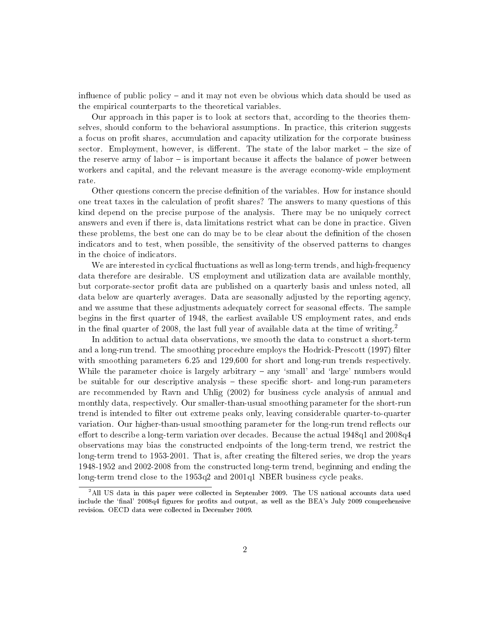influence of public policy  $-$  and it may not even be obvious which data should be used as the empirical counterparts to the theoretical variables.

Our approach in this paper is to look at sectors that, according to the theories themselves, should conform to the behavioral assumptions. In practice, this criterion suggests a focus on profit shares, accumulation and capacity utilization for the corporate business sector. Employment, however, is different. The state of the labor market – the size of the reserve army of labor  $-$  is important because it affects the balance of power between workers and capital, and the relevant measure is the average economy-wide employment rate.

Other questions concern the precise definition of the variables. How for instance should one treat taxes in the calculation of profit shares? The answers to many questions of this kind depend on the precise purpose of the analysis. There may be no uniquely correct answers and even if there is, data limitations restrict what can be done in practice. Given these problems, the best one can do may be to be clear about the definition of the chosen indicators and to test, when possible, the sensitivity of the observed patterns to changes in the choice of indicators.

We are interested in cyclical fluctuations as well as long-term trends, and high-frequency data therefore are desirable. US employment and utilization data are available monthly, but corporate-sector profit data are published on a quarterly basis and unless noted, all data below are quarterly averages. Data are seasonally adjusted by the reporting agency, and we assume that these adjustments adequately correct for seasonal effects. The sample begins in the first quarter of 1948, the earliest available US employment rates, and ends in the final quarter of 2008, the last full year of available data at the time of writing.<sup>2</sup>

In addition to actual data observations, we smooth the data to construct a short-term and a long-run trend. The smoothing procedure employs the Hodrick-Prescott (1997) filter with smoothing parameters 6.25 and 129,600 for short and long-run trends respectively. While the parameter choice is largely arbitrary  $-$  any 'small' and 'large' numbers would be suitable for our descriptive analysis – these specific short- and long-run parameters are recommended by Ravn and Uhlig (2002) for business cycle analysis of annual and monthly data, respectively. Our smaller-than-usual smoothing parameter for the short-run trend is intended to filter out extreme peaks only, leaving considerable quarter-to-quarter variation. Our higher-than-usual smoothing parameter for the long-run trend reflects our effort to describe a long-term variation over decades. Because the actual  $1948q1$  and  $2008q4$ observations may bias the constructed endpoints of the long-term trend, we restrict the long-term trend to 1953-2001. That is, after creating the filtered series, we drop the years 1948-1952 and 2002-2008 from the constructed long-term trend, beginning and ending the long-term trend close to the 1953q2 and 2001q1 NBER business cycle peaks.

<sup>&</sup>lt;sup>2</sup>All US data in this paper were collected in September 2009. The US national accounts data used include the 'final' 2008q4 figures for profits and output, as well as the BEA's July 2009 comprehensive revision. OECD data were collected in December 2009.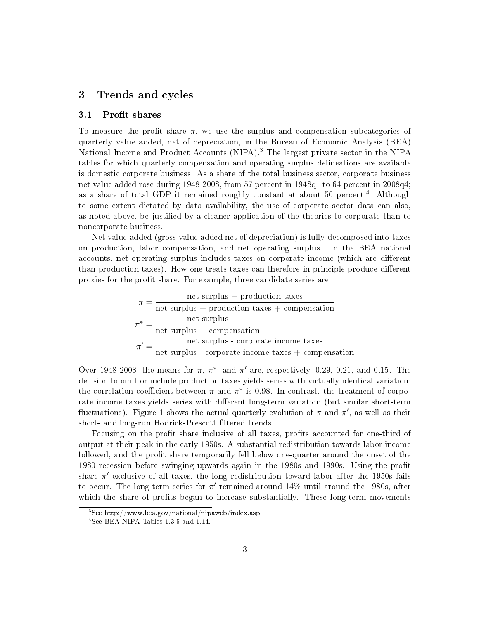#### 3 Trends and cycles

#### 3.1 Profit shares

To measure the profit share  $\pi$ , we use the surplus and compensation subcategories of quarterly value added, net of depreciation, in the Bureau of Economic Analysis (BEA) National Income and Product Accounts (NIPA).<sup>3</sup> The largest private sector in the NIPA tables for which quarterly compensation and operating surplus delineations are available is domestic corporate business. As a share of the total business sector, corporate business net value added rose during 1948-2008, from 57 percent in 1948q1 to 64 percent in 2008q4; as a share of total GDP it remained roughly constant at about 50 percent.<sup>4</sup> Although to some extent dictated by data availability, the use of corporate sector data can also, as noted above, be justified by a cleaner application of the theories to corporate than to noncorporate business.

Net value added (gross value added net of depreciation) is fully decomposed into taxes on production, labor compensation, and net operating surplus. In the BEA national accounts, net operating surplus includes taxes on corporate income (which are different than production taxes). How one treats taxes can therefore in principle produce different proxies for the profit share. For example, three candidate series are

$$
\pi = \frac{\text{net surplus} + \text{production taxes}}{\text{net surplus} + \text{production taxes} + \text{compression}}
$$
\n
$$
\pi^* = \frac{\text{net surplus}}{\text{net surplus} + \text{compression}}
$$
\n
$$
\pi' = \frac{\text{net surplus} - \text{corporte income taxes}}{\text{net surplus} - \text{corporte income taxes} + \text{compression}}
$$

Over 1948-2008, the means for π,  $\pi^*$ , and π' are, respectively, 0.29, 0.21, and 0.15. The decision to omit or include production taxes yields series with virtually identical variation: the correlation coefficient between  $\pi$  and  $\pi^*$  is 0.98. In contrast, the treatment of corporate income taxes yields series with different long-term variation (but similar short-term fluctuations). Figure 1 shows the actual quarterly evolution of  $\pi$  and  $\pi'$ , as well as their short- and long-run Hodrick-Prescott filtered trends.

Focusing on the profit share inclusive of all taxes, profits accounted for one-third of output at their peak in the early 1950s. A substantial redistribution towards labor income followed, and the profit share temporarily fell below one-quarter around the onset of the 1980 recession before swinging upwards again in the 1980s and 1990s. Using the prot share  $\pi'$  exclusive of all taxes, the long redistribution toward labor after the 1950s fails to occur. The long-term series for  $\pi'$  remained around 14% until around the 1980s, after which the share of profits began to increase substantially. These long-term movements

<sup>3</sup>See http://www.bea.gov/national/nipaweb/index.asp

 $4$ See BEA NIPA Tables 1.3.5 and 1.14.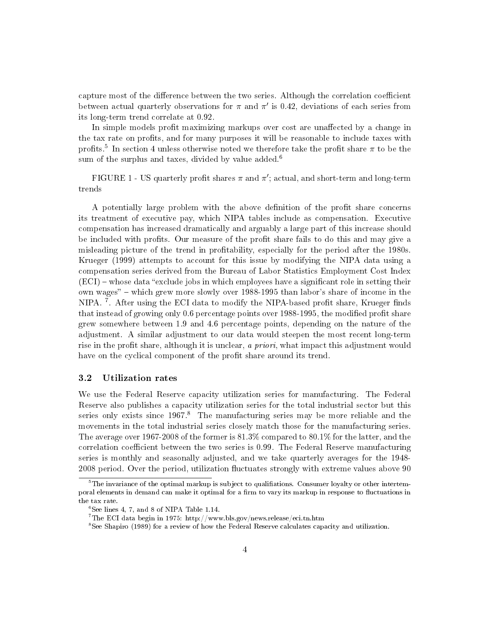capture most of the difference between the two series. Although the correlation coefficient between actual quarterly observations for  $\pi$  and  $\pi'$  is 0.42, deviations of each series from its long-term trend correlate at 0.92.

In simple models profit maximizing markups over cost are unaffected by a change in the tax rate on profits, and for many purposes it will be reasonable to include taxes with profits.<sup>5</sup> In section 4 unless otherwise noted we therefore take the profit share  $\pi$  to be the sum of the surplus and taxes, divided by value added.<sup>6</sup>

FIGURE 1 - US quarterly profit shares  $\pi$  and  $\pi'$ ; actual, and short-term and long-term trends

A potentially large problem with the above definition of the profit share concerns its treatment of executive pay, which NIPA tables include as compensation. Executive compensation has increased dramatically and arguably a large part of this increase should be included with profits. Our measure of the profit share fails to do this and may give a misleading picture of the trend in protability, especially for the period after the 1980s. Krueger (1999) attempts to account for this issue by modifying the NIPA data using a compensation series derived from the Bureau of Labor Statistics Employment Cost Index  $(ECI)$  – whose data "exclude jobs in which employees have a significant role in setting their own wages" - which grew more slowly over 1988-1995 than labor's share of income in the NIPA.<sup>7</sup>. After using the ECI data to modify the NIPA-based profit share, Krueger finds that instead of growing only  $0.6$  percentage points over 1988-1995, the modified profit share grew somewhere between 1.9 and 4.6 percentage points, depending on the nature of the adjustment. A similar adjustment to our data would steepen the most recent long-term rise in the profit share, although it is unclear, a priori, what impact this adjustment would have on the cyclical component of the profit share around its trend.

#### 3.2 Utilization rates

We use the Federal Reserve capacity utilization series for manufacturing. The Federal Reserve also publishes a capacity utilization series for the total industrial sector but this series only exists since  $1967$ <sup>8</sup>. The manufacturing series may be more reliable and the movements in the total industrial series closely match those for the manufacturing series. The average over 1967-2008 of the former is 81.3% compared to 80.1% for the latter, and the correlation coefficient between the two series is 0.99. The Federal Reserve manufacturing series is monthly and seasonally adjusted, and we take quarterly averages for the 1948- 2008 period. Over the period, utilization fluctuates strongly with extreme values above 90

 $5$ The invariance of the optimal markup is subject to qualifiations. Consumer loyalty or other intertemporal elements in demand can make it optimal for a firm to vary its markup in response to fluctuations in the tax rate.

 ${}^6$ See lines 4, 7, and 8 of NIPA Table 1.14.

<sup>&</sup>lt;sup>7</sup>The ECI data begin in 1975: http://www.bls.gov/news.release/eci.tn.htm

<sup>8</sup>See Shapiro (1989) for a review of how the Federal Reserve calculates capacity and utilization.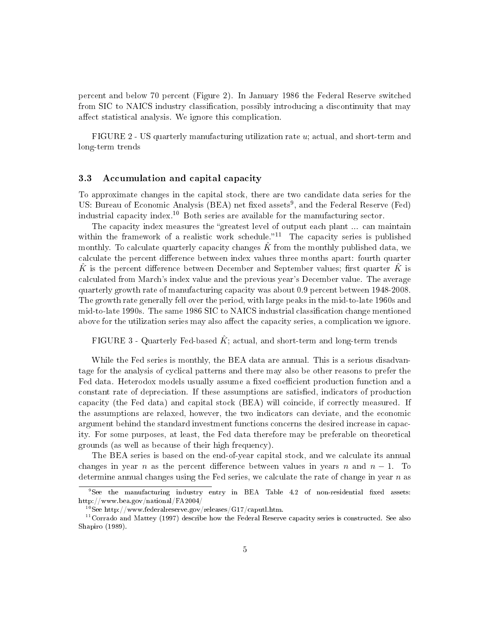percent and below 70 percent (Figure 2). In January 1986 the Federal Reserve switched from SIC to NAICS industry classification, possibly introducing a discontinuity that may affect statistical analysis. We ignore this complication.

FIGURE 2 - US quarterly manufacturing utilization rate u; actual, and short-term and long-term trends

#### 3.3 Accumulation and capital capacity

To approximate changes in the capital stock, there are two candidate data series for the US: Bureau of Economic Analysis (BEA) net fixed assets<sup>9</sup>, and the Federal Reserve (Fed) industrial capacity index.<sup>10</sup> Both series are available for the manufacturing sector.

The capacity index measures the "greatest level of output each plant ... can maintain within the framework of a realistic work schedule.<sup> $11$ </sup> The capacity series is published monthly. To calculate quarterly capacity changes  $K$  from the monthly published data, we calculate the percent difference between index values three months apart: fourth quarter  $\hat{K}$  is the percent difference between December and September values; first quarter K is calculated from March's index value and the previous year's December value. The average quarterly growth rate of manufacturing capacity was about 0.9 percent between 1948-2008. The growth rate generally fell over the period, with large peaks in the mid-to-late 1960s and mid-to-late 1990s. The same 1986 SIC to NAICS industrial classification change mentioned above for the utilization series may also affect the capacity series, a complication we ignore.

FIGURE 3 - Quarterly Fed-based  $\hat{K}$ ; actual, and short-term and long-term trends

While the Fed series is monthly, the BEA data are annual. This is a serious disadvantage for the analysis of cyclical patterns and there may also be other reasons to prefer the Fed data. Heterodox models usually assume a fixed coefficient production function and a constant rate of depreciation. If these assumptions are satised, indicators of production capacity (the Fed data) and capital stock (BEA) will coincide, if correctly measured. If the assumptions are relaxed, however, the two indicators can deviate, and the economic argument behind the standard investment functions concerns the desired increase in capacity. For some purposes, at least, the Fed data therefore may be preferable on theoretical grounds (as well as because of their high frequency).

The BEA series is based on the end-of-year capital stock, and we calculate its annual changes in year n as the percent difference between values in years n and  $n-1$ . To determine annual changes using the Fed series, we calculate the rate of change in year  $n$  as

 $9See$  the manufacturing industry entry in BEA Table 4.2 of non-residential fixed assets: http://www.bea.gov/national/FA2004/

 $10$ See http://www.federalreserve.gov/releases/G17/caputl.htm.

 $11$ Corrado and Mattey (1997) describe how the Federal Reserve capacity series is constructed. See also Shapiro (1989).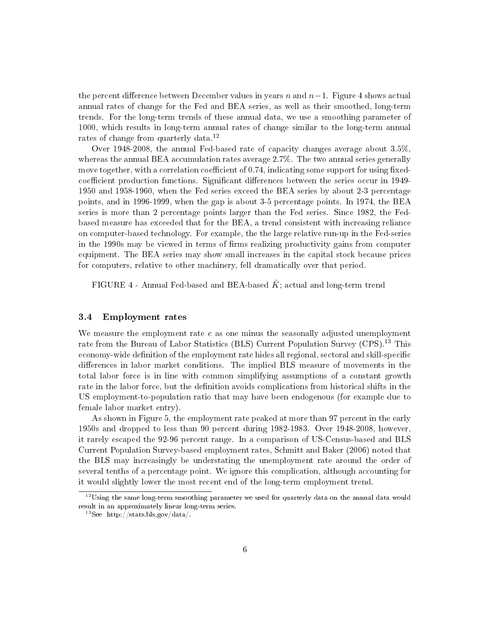the percent difference between December values in years n and  $n-1$ . Figure 4 shows actual annual rates of change for the Fed and BEA series, as well as their smoothed, long-term trends. For the long-term trends of these annual data, we use a smoothing parameter of 1000, which results in long-term annual rates of change similar to the long-term annual rates of change from quarterly data.<sup>12</sup>

Over 1948-2008, the annual Fed-based rate of capacity changes average about 3.5%, whereas the annual BEA accumulation rates average 2.7%. The two annual series generally move together, with a correlation coefficient of  $0.74$ , indicating some support for using fixedcoefficient production functions. Significant differences between the series occur in 1949-1950 and 1958-1960, when the Fed series exceed the BEA series by about 2-3 percentage points, and in 1996-1999, when the gap is about 3-5 percentage points. In 1974, the BEA series is more than 2 percentage points larger than the Fed series. Since 1982, the Fedbased measure has exceeded that for the BEA, a trend consistent with increasing reliance on computer-based technology. For example, the the large relative run-up in the Fed-series in the 1990s may be viewed in terms of firms realizing productivity gains from computer equipment. The BEA series may show small increases in the capital stock because prices for computers, relative to other machinery, fell dramatically over that period.

FIGURE 4 - Annual Fed-based and BEA-based  $\hat{K}$ ; actual and long-term trend

#### 3.4 Employment rates

We measure the employment rate  $e$  as one minus the seasonally adjusted unemployment rate from the Bureau of Labor Statistics (BLS) Current Population Survey (CPS).<sup>13</sup> This economy-wide definition of the employment rate hides all regional, sectoral and skill-specific differences in labor market conditions. The implied BLS measure of movements in the total labor force is in line with common simplifying assumptions of a constant growth rate in the labor force, but the definition avoids complications from historical shifts in the US employment-to-population ratio that may have been endogenous (for example due to female labor market entry).

As shown in Figure 5, the employment rate peaked at more than 97 percent in the early 1950s and dropped to less than 90 percent during 1982-1983. Over 1948-2008, however, it rarely escaped the 92-96 percent range. In a comparison of US-Census-based and BLS Current Population Survey-based employment rates, Schmitt and Baker (2006) noted that the BLS may increasingly be understating the unemployment rate around the order of several tenths of a percentage point. We ignore this complication, although accounting for it would slightly lower the most recent end of the long-term employment trend.

 $12$ Using the same long-term smoothing parameter we used for quarterly data on the annual data would result in an approximately linear long-term series.

<sup>&</sup>lt;sup>13</sup>See http://stats.bls.gov/data/.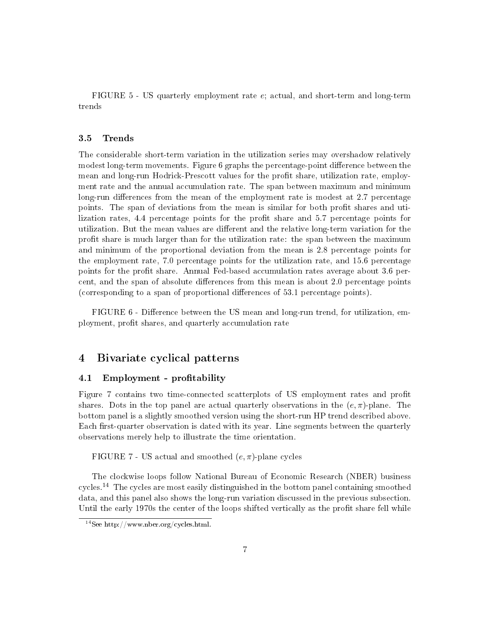FIGURE 5 - US quarterly employment rate e; actual, and short-term and long-term trends

#### 3.5 Trends

The considerable short-term variation in the utilization series may overshadow relatively modest long-term movements. Figure 6 graphs the percentage-point difference between the mean and long-run Hodrick-Prescott values for the profit share, utilization rate, employment rate and the annual accumulation rate. The span between maximum and minimum long-run differences from the mean of the employment rate is modest at 2.7 percentage points. The span of deviations from the mean is similar for both profit shares and utilization rates,  $4.4$  percentage points for the profit share and  $5.7$  percentage points for utilization. But the mean values are different and the relative long-term variation for the profit share is much larger than for the utilization rate: the span between the maximum and minimum of the proportional deviation from the mean is 2.8 percentage points for the employment rate, 7.0 percentage points for the utilization rate, and 15.6 percentage points for the profit share. Annual Fed-based accumulation rates average about 3.6 percent, and the span of absolute differences from this mean is about  $2.0$  percentage points (corresponding to a span of proportional differences of  $53.1$  percentage points).

FIGURE 6 - Difference between the US mean and long-run trend, for utilization, employment, profit shares, and quarterly accumulation rate

#### 4 Bivariate cyclical patterns

#### 4.1 Employment - profitability

Figure 7 contains two time-connected scatterplots of US employment rates and profit shares. Dots in the top panel are actual quarterly observations in the  $(e, \pi)$ -plane. The bottom panel is a slightly smoothed version using the short-run HP trend described above. Each first-quarter observation is dated with its year. Line segments between the quarterly observations merely help to illustrate the time orientation.

FIGURE 7 - US actual and smoothed  $(e, \pi)$ -plane cycles

The clockwise loops follow National Bureau of Economic Research (NBER) business cycles.<sup>14</sup> The cycles are most easily distinguished in the bottom panel containing smoothed data, and this panel also shows the long-run variation discussed in the previous subsection. Until the early 1970s the center of the loops shifted vertically as the profit share fell while

<sup>14</sup>See http://www.nber.org/cycles.html.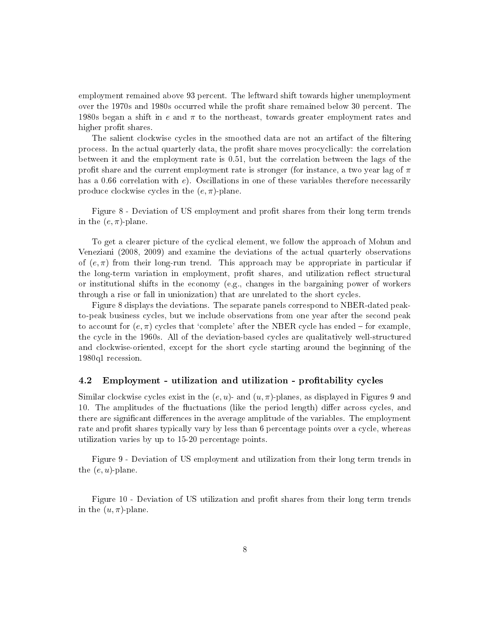employment remained above 93 percent. The leftward shift towards higher unemployment over the 1970s and 1980s occurred while the profit share remained below 30 percent. The 1980s began a shift in e and  $\pi$  to the northeast, towards greater employment rates and higher profit shares.

The salient clockwise cycles in the smoothed data are not an artifact of the filtering process. In the actual quarterly data, the prot share moves procyclically: the correlation between it and the employment rate is 0.51, but the correlation between the lags of the profit share and the current employment rate is stronger (for instance, a two year lag of  $\pi$ has a 0.66 correlation with  $e$ ). Oscillations in one of these variables therefore necessarily produce clockwise cycles in the  $(e, \pi)$ -plane.

Figure 8 - Deviation of US employment and profit shares from their long term trends in the  $(e, \pi)$ -plane.

To get a clearer picture of the cyclical element, we follow the approach of Mohun and Veneziani (2008, 2009) and examine the deviations of the actual quarterly observations of  $(e, \pi)$  from their long-run trend. This approach may be appropriate in particular if the long-term variation in employment, profit shares, and utilization reflect structural or institutional shifts in the economy (e.g., changes in the bargaining power of workers through a rise or fall in unionization) that are unrelated to the short cycles.

Figure 8 displays the deviations. The separate panels correspond to NBER-dated peakto-peak business cycles, but we include observations from one year after the second peak to account for  $(e, \pi)$  cycles that 'complete' after the NBER cycle has ended  $-$  for example. the cycle in the 1960s. All of the deviation-based cycles are qualitatively well-structured and clockwise-oriented, except for the short cycle starting around the beginning of the 1980q1 recession.

#### 4.2 Employment - utilization and utilization - profitability cycles

Similar clockwise cycles exist in the  $(e, u)$ - and  $(u, \pi)$ -planes, as displayed in Figures 9 and 10. The amplitudes of the fluctuations (like the period length) differ across cycles, and there are significant differences in the average amplitude of the variables. The employment rate and profit shares typically vary by less than 6 percentage points over a cycle, whereas utilization varies by up to 15-20 percentage points.

Figure 9 - Deviation of US employment and utilization from their long term trends in the  $(e, u)$ -plane.

Figure 10 - Deviation of US utilization and profit shares from their long term trends in the  $(u, \pi)$ -plane.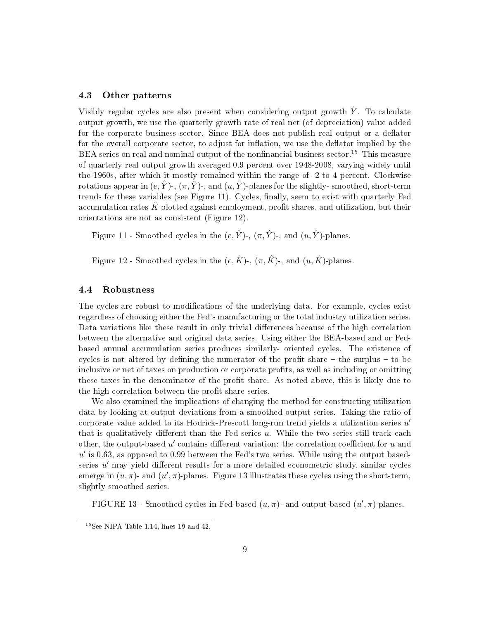#### 4.3 Other patterns

Visibly regular cycles are also present when considering output growth  $\hat{Y}$ . To calculate output growth, we use the quarterly growth rate of real net (of depreciation) value added for the corporate business sector. Since BEA does not publish real output or a deflator for the overall corporate sector, to adjust for inflation, we use the deflator implied by the BEA series on real and nominal output of the nonfinancial business sector.<sup>15</sup> This measure of quarterly real output growth averaged 0.9 percent over 1948-2008, varying widely until the 1960s, after which it mostly remained within the range of -2 to 4 percent. Clockwise rotations appear in  $(e, \hat{Y})$ -,  $(\pi, \hat{Y})$ -, and  $(u, \hat{Y})$ -planes for the slightly-smoothed, short-term trends for these variables (see Figure 11). Cycles, finally, seem to exist with quarterly Fed accumulation rates  $\tilde{K}$  plotted against employment, profit shares, and utilization, but their orientations are not as consistent (Figure 12).

Figure 11 - Smoothed cycles in the  $(e, \hat{Y})$ -,  $(\pi, \hat{Y})$ -, and  $(u, \hat{Y})$ -planes.

Figure 12 - Smoothed cycles in the  $(e, \hat{K})$ -,  $(\pi, \hat{K})$ -, and  $(u, \hat{K})$ -planes.

#### 4.4 Robustness

The cycles are robust to modifications of the underlying data. For example, cycles exist regardless of choosing either the Fed's manufacturing or the total industry utilization series. Data variations like these result in only trivial differences because of the high correlation between the alternative and original data series. Using either the BEA-based and or Fedbased annual accumulation series produces similarly- oriented cycles. The existence of cycles is not altered by defining the numerator of the profit share  $-$  the surplus  $-$  to be inclusive or net of taxes on production or corporate profits, as well as including or omitting these taxes in the denominator of the profit share. As noted above, this is likely due to the high correlation between the profit share series.

We also examined the implications of changing the method for constructing utilization data by looking at output deviations from a smoothed output series. Taking the ratio of corporate value added to its Hodrick-Prescott long-run trend yields a utilization series  $u'$ that is qualitatively different than the Fed series  $u$ . While the two series still track each other, the output-based  $u'$  contains different variation: the correlation coefficient for  $u$  and  $u'$  is 0.63, as opposed to 0.99 between the Fed's two series. While using the output basedseries  $u'$  may yield different results for a more detailed econometric study, similar cycles emerge in  $(u, \pi)$ - and  $(u', \pi)$ -planes. Figure 13 illustrates these cycles using the short-term, slightly smoothed series.

FIGURE 13 - Smoothed cycles in Fed-based  $(u, \pi)$ - and output-based  $(u', \pi)$ -planes.

 $15$ See NIPA Table 1.14, lines 19 and 42.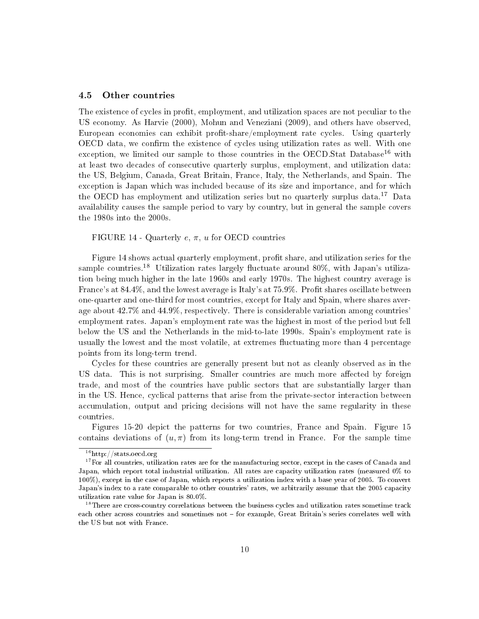#### 4.5 Other countries

The existence of cycles in profit, employment, and utilization spaces are not peculiar to the US economy. As Harvie (2000), Mohun and Veneziani (2009), and others have observed, European economies can exhibit profit-share/employment rate cycles. Using quarterly OECD data, we confirm the existence of cycles using utilization rates as well. With one exception, we limited our sample to those countries in the OECD.Stat Database<sup>16</sup> with at least two decades of consecutive quarterly surplus, employment, and utilization data: the US, Belgium, Canada, Great Britain, France, Italy, the Netherlands, and Spain. The exception is Japan which was included because of its size and importance, and for which the OECD has employment and utilization series but no quarterly surplus data.<sup>17</sup> Data availability causes the sample period to vary by country, but in general the sample covers the 1980s into the 2000s.

FIGURE 14 - Quarterly  $e, \pi, u$  for OECD countries

Figure 14 shows actual quarterly employment, profit share, and utilization series for the sample countries.<sup>18</sup> Utilization rates largely fluctuate around  $80\%$ , with Japan's utilization being much higher in the late 1960s and early 1970s. The highest country average is France's at  $84.4\%$ , and the lowest average is Italy's at  $75.9\%$ . Profit shares oscillate between one-quarter and one-third for most countries, except for Italy and Spain, where shares average about 42.7% and 44.9%, respectively. There is considerable variation among countries' employment rates. Japan's employment rate was the highest in most of the period but fell below the US and the Netherlands in the mid-to-late 1990s. Spain's employment rate is usually the lowest and the most volatile, at extremes fluctuating more than 4 percentage points from its long-term trend.

Cycles for these countries are generally present but not as cleanly observed as in the US data. This is not surprising. Smaller countries are much more affected by foreign trade, and most of the countries have public sectors that are substantially larger than in the US. Hence, cyclical patterns that arise from the private-sector interaction between accumulation, output and pricing decisions will not have the same regularity in these countries.

Figures 15-20 depict the patterns for two countries, France and Spain. Figure 15 contains deviations of  $(u, \pi)$  from its long-term trend in France. For the sample time

<sup>16</sup>http://stats.oecd.org

<sup>&</sup>lt;sup>17</sup>For all countries, utilization rates are for the manufacturing sector, except in the cases of Canada and Japan, which report total industrial utilization. All rates are capacity utilization rates (measured 0% to 100%), except in the case of Japan, which reports a utilization index with a base year of 2005. To convert Japan's index to a rate comparable to other countries' rates, we arbitrarily assume that the 2005 capacity utilization rate value for Japan is 80.0%.

<sup>&</sup>lt;sup>18</sup>There are cross-country correlations between the business cycles and utilization rates sometime track each other across countries and sometimes not - for example, Great Britain's series correlates well with the US but not with France.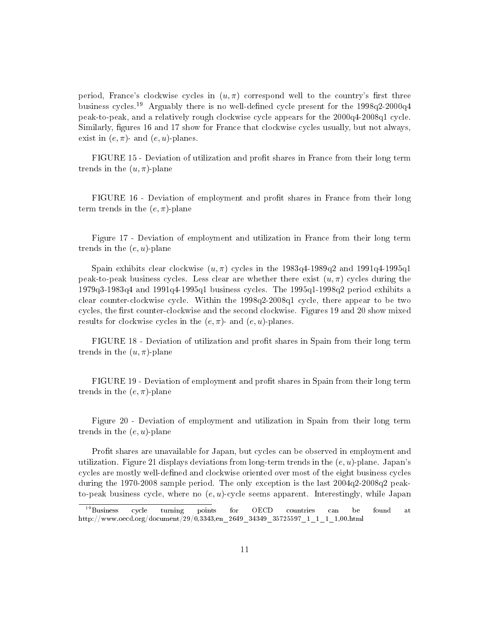period, France's clockwise cycles in  $(u,\pi)$  correspond well to the country's first three business cycles.<sup>19</sup> Arguably there is no well-defined cycle present for the  $1998q2-2000q4$ peak-to-peak, and a relatively rough clockwise cycle appears for the 2000q4-2008q1 cycle. Similarly, figures 16 and 17 show for France that clockwise cycles usually, but not always, exist in  $(e, \pi)$ - and  $(e, u)$ -planes.

FIGURE 15 - Deviation of utilization and profit shares in France from their long term trends in the  $(u, \pi)$ -plane

FIGURE 16 - Deviation of employment and profit shares in France from their long term trends in the  $(e, \pi)$ -plane

Figure 17 - Deviation of employment and utilization in France from their long term trends in the  $(e, u)$ -plane

Spain exhibits clear clockwise  $(u, \pi)$  cycles in the 1983q4-1989q2 and 1991q4-1995q1 peak-to-peak business cycles. Less clear are whether there exist  $(u, \pi)$  cycles during the 1979q3-1983q4 and 1991q4-1995q1 business cycles. The 1995q1-1998q2 period exhibits a clear counter-clockwise cycle. Within the 1998q2-2008q1 cycle, there appear to be two cycles, the first counter-clockwise and the second clockwise. Figures 19 and 20 show mixed results for clockwise cycles in the  $(e, \pi)$ - and  $(e, u)$ -planes.

FIGURE 18 - Deviation of utilization and profit shares in Spain from their long term trends in the  $(u, \pi)$ -plane

FIGURE 19 - Deviation of employment and profit shares in Spain from their long term trends in the  $(e, \pi)$ -plane

Figure 20 - Deviation of employment and utilization in Spain from their long term trends in the  $(e, u)$ -plane

Profit shares are unavailable for Japan, but cycles can be observed in employment and utilization. Figure 21 displays deviations from long-term trends in the  $(e, u)$ -plane. Japan's cycles are mostly well-defined and clockwise oriented over most of the eight business cycles during the 1970-2008 sample period. The only exception is the last 2004q2-2008q2 peakto-peak business cycle, where no  $(e, u)$ -cycle seems apparent. Interestingly, while Japan

 $^{19}$ Business cycle turning points for OECD countries can be found at http://www.oecd.org/document/29/0,3343,en\_2649\_34349\_35725597\_1\_1\_1\_1,00.html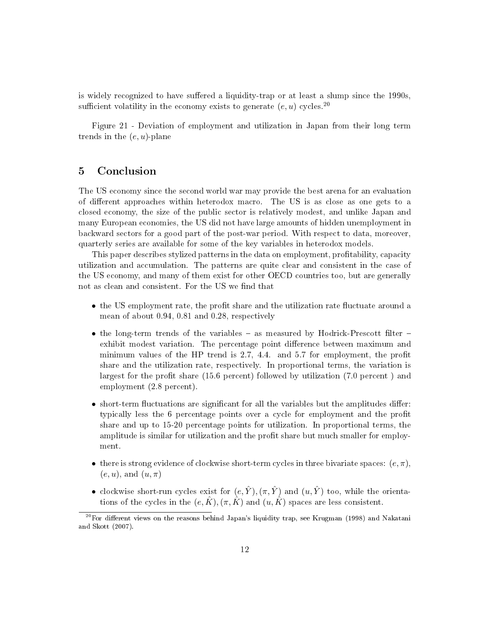is widely recognized to have suffered a liquidity-trap or at least a slump since the 1990s, sufficient volatility in the economy exists to generate  $(e, u)$  cycles.<sup>20</sup>

Figure 21 - Deviation of employment and utilization in Japan from their long term trends in the  $(e, u)$ -plane

#### 5 Conclusion

The US economy since the second world war may provide the best arena for an evaluation of different approaches within heterodox macro. The US is as close as one gets to a closed economy, the size of the public sector is relatively modest, and unlike Japan and many European economies, the US did not have large amounts of hidden unemployment in backward sectors for a good part of the post-war period. With respect to data, moreover, quarterly series are available for some of the key variables in heterodox models.

This paper describes stylized patterns in the data on employment, profitability, capacity utilization and accumulation. The patterns are quite clear and consistent in the case of the US economy, and many of them exist for other OECD countries too, but are generally not as clean and consistent. For the US we find that

- the US employment rate, the profit share and the utilization rate fluctuate around a mean of about 0.94, 0.81 and 0.28, respectively
- the long-term trends of the variables  $-$  as measured by Hodrick-Prescott filter  $$ exhibit modest variation. The percentage point difference between maximum and minimum values of the HP trend is  $2.7, 4.4$ . and  $5.7$  for employment, the profit share and the utilization rate, respectively. In proportional terms, the variation is largest for the profit share  $(15.6$  percent) followed by utilization  $(7.0$  percent) and employment (2.8 percent).
- short-term fluctuations are significant for all the variables but the amplitudes differ: typically less the 6 percentage points over a cycle for employment and the profit share and up to 15-20 percentage points for utilization. In proportional terms, the amplitude is similar for utilization and the profit share but much smaller for employment.
- there is strong evidence of clockwise short-term cycles in three bivariate spaces:  $(e, \pi)$ ,  $(e, u)$ , and  $(u, \pi)$
- clockwise short-run cycles exist for  $(e, \hat{Y}), (\pi, \hat{Y})$  and  $(u, \hat{Y})$  too, while the orientations of the cycles in the  $(e, \hat{K}), (\pi, \hat{K})$  and  $(u, \hat{K})$  spaces are less consistent.

 $^{20}$ For different views on the reasons behind Japan's liquidity trap, see Krugman (1998) and Nakatani and Skott (2007).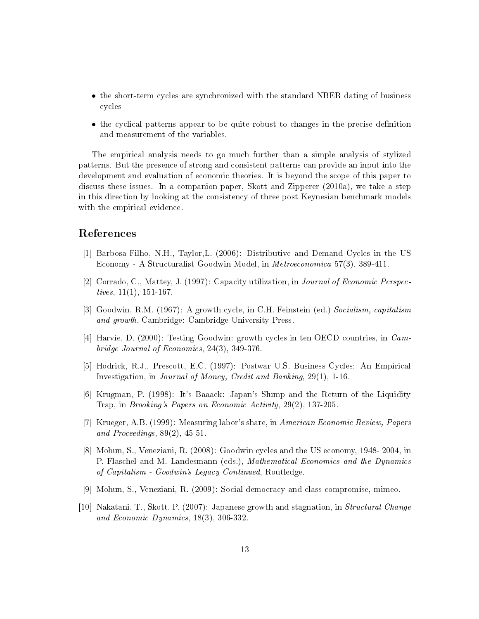- the short-term cycles are synchronized with the standard NBER dating of business cycles
- the cyclical patterns appear to be quite robust to changes in the precise definition and measurement of the variables.

The empirical analysis needs to go much further than a simple analysis of stylized patterns. But the presence of strong and consistent patterns can provide an input into the development and evaluation of economic theories. It is beyond the scope of this paper to discuss these issues. In a companion paper, Skott and Zipperer (2010a), we take a step in this direction by looking at the consistency of three post Keynesian benchmark models with the empirical evidence.

#### References

- [1] Barbosa-Filho, N.H., Taylor,L. (2006): Distributive and Demand Cycles in the US Economy - A Structuralist Goodwin Model, in Metroeconomica 57(3), 389-411.
- [2] Corrado, C., Mattey, J. (1997): Capacity utilization, in Journal of Economic Perspectives,  $11(1)$ ,  $151-167$ .
- [3] Goodwin, R.M. (1967): A growth cycle, in C.H. Feinstein (ed.) Socialism, capitalism and growth, Cambridge: Cambridge University Press.
- [4] Harvie, D. (2000): Testing Goodwin: growth cycles in ten OECD countries, in Cambridge Journal of Economics, 24(3), 349-376.
- [5] Hodrick, R.J., Prescott, E.C. (1997): Postwar U.S. Business Cycles: An Empirical Investigation, in Journal of Money, Credit and Banking, 29(1), 1-16.
- [6] Krugman, P. (1998): It's Baaack: Japan's Slump and the Return of the Liquidity Trap, in Brooking's Papers on Economic Activity, 29(2), 137-205.
- [7] Krueger, A.B. (1999): Measuring labor's share, in American Economic Review, Papers and Proceedings,  $89(2)$ ,  $45-51$ .
- [8] Mohun, S., Veneziani, R. (2008): Goodwin cycles and the US economy, 1948- 2004, in P. Flaschel and M. Landesmann (eds.), Mathematical Economics and the Dynamics of Capitalism - Goodwin's Legacy Continued, Routledge.
- [9] Mohun, S., Veneziani, R. (2009): Social democracy and class compromise, mimeo.
- [10] Nakatani, T., Skott, P. (2007): Japanese growth and stagnation, in Structural Change and Economic Dynamics, 18(3), 306-332.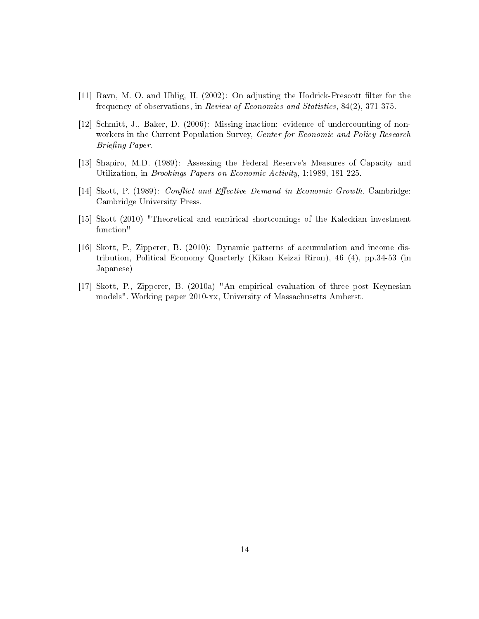- [11] Ravn, M. O. and Uhlig, H. (2002): On adjusting the Hodrick-Prescott filter for the frequency of observations, in Review of Economics and Statistics, 84(2), 371-375.
- [12] Schmitt, J., Baker, D. (2006): Missing inaction: evidence of undercounting of nonworkers in the Current Population Survey, Center for Economic and Policy Research Briefing Paper.
- [13] Shapiro, M.D. (1989): Assessing the Federal Reserve's Measures of Capacity and Utilization, in Brookings Papers on Economic Activity, 1:1989, 181-225.
- [14] Skott, P. (1989): Conflict and Effective Demand in Economic Growth. Cambridge: Cambridge University Press.
- [15] Skott (2010) "Theoretical and empirical shortcomings of the Kaleckian investment function"
- [16] Skott, P., Zipperer, B. (2010): Dynamic patterns of accumulation and income distribution, Political Economy Quarterly (Kikan Keizai Riron), 46 (4), pp.34-53 (in Japanese)
- [17] Skott, P., Zipperer, B. (2010a) "An empirical evaluation of three post Keynesian models". Working paper 2010-xx, University of Massachusetts Amherst.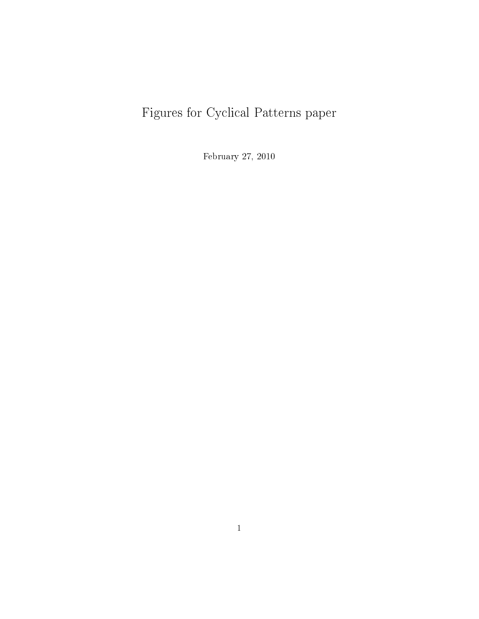## Figures for Cyclical Patterns paper

February 27, 2010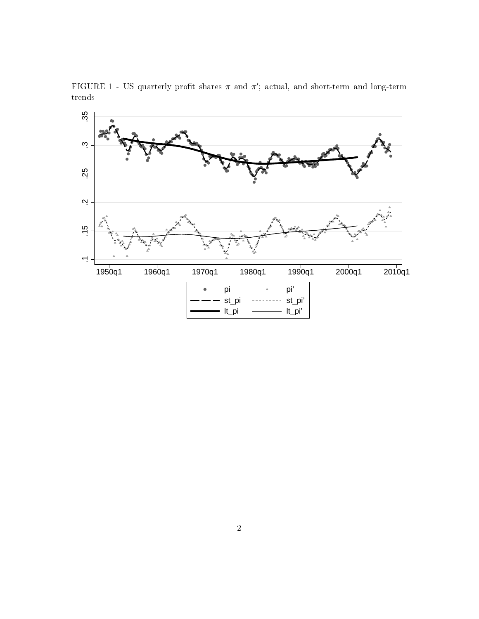

FIGURE 1 - US quarterly profit shares  $\pi$  and  $\pi'$ ; actual, and short-term and long-term trends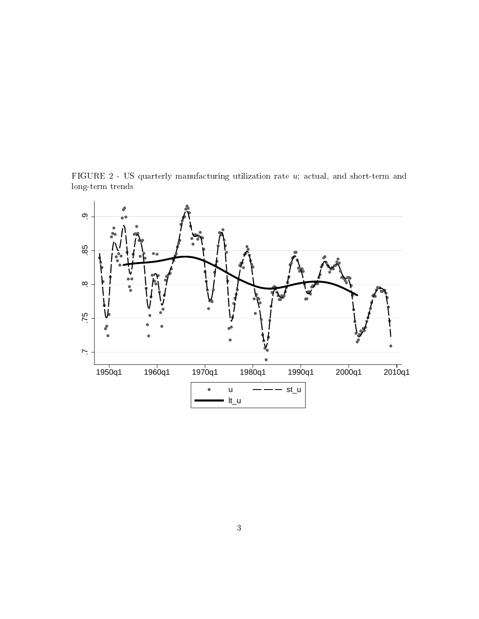FIGURE 2 - US quarterly manufacturing utilization rate  $u$ ; actual, and short-term and long-term trends

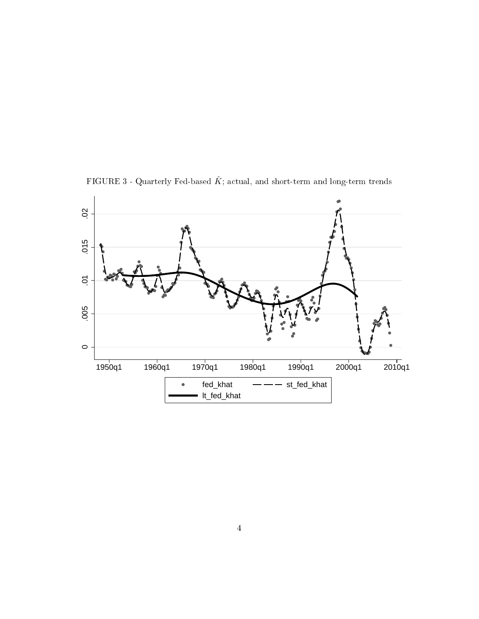

<code>FIGURE 3</code> - Quarterly Fed-based  $\hat{K};$  actual, and short-term and long-term trends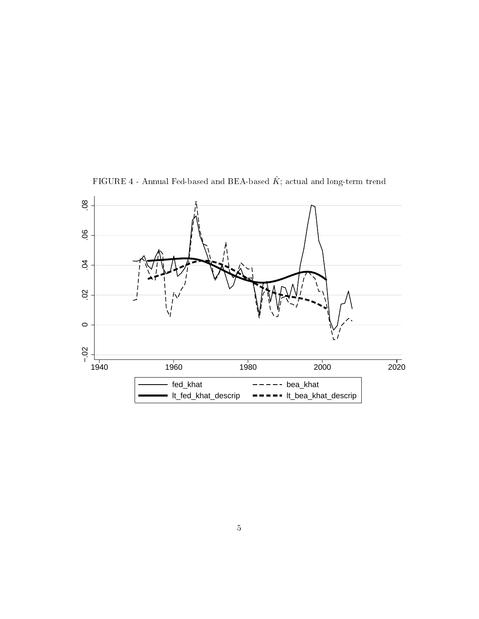

<code>FIGURE 4</code> - Annual Fed-based and BEA-based  $\hat{K};$  actual and long-term trend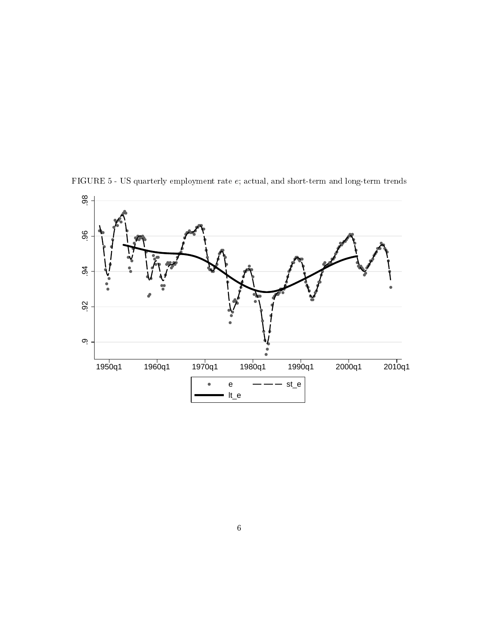

FIGURE 5 - US quarterly employment rate e; actual, and short-term and long-term trends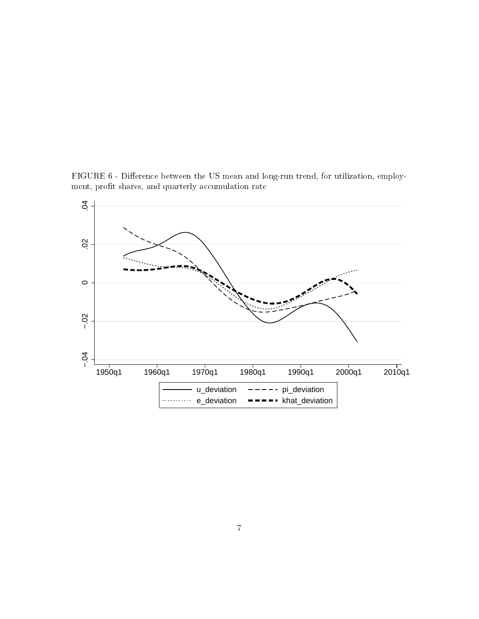FIGURE 6 - Difference between the US mean and long-run trend, for utilization, employment, profit shares, and quarterly accumulation rate

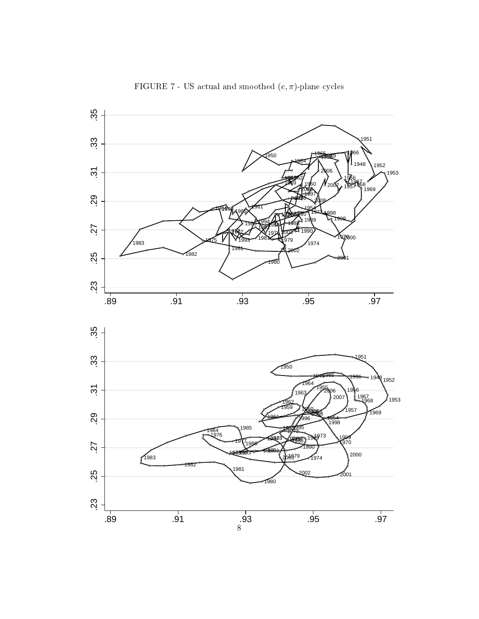

FIGURE 7 - US actual and smoothed  $(e,\pi)\mbox{-plane cycles}$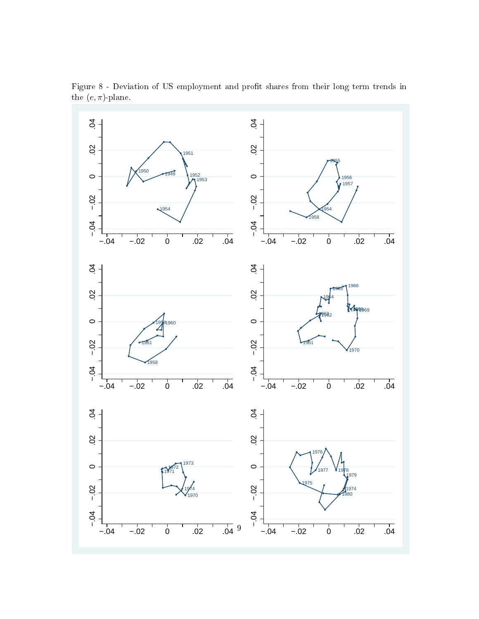

Figure 8 - Deviation of US employment and profit shares from their long term trends in the  $(e, \pi)$ -plane.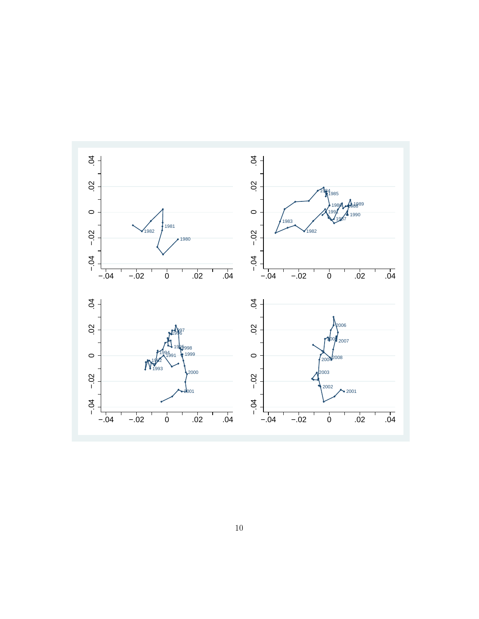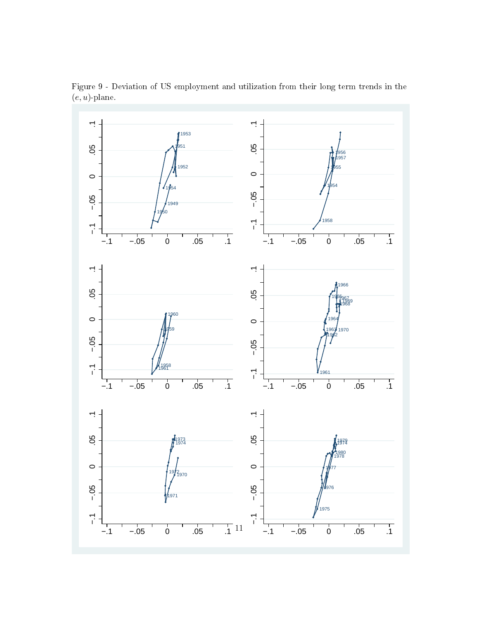

Figure 9 - Deviation of US employment and utilization from their long term trends in the  $(e, u)$ -plane.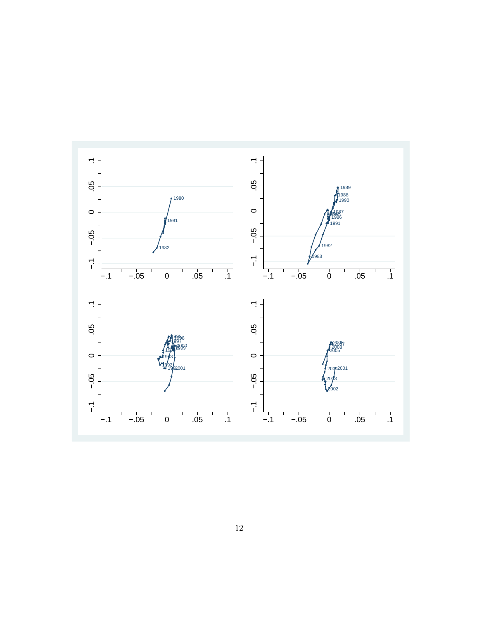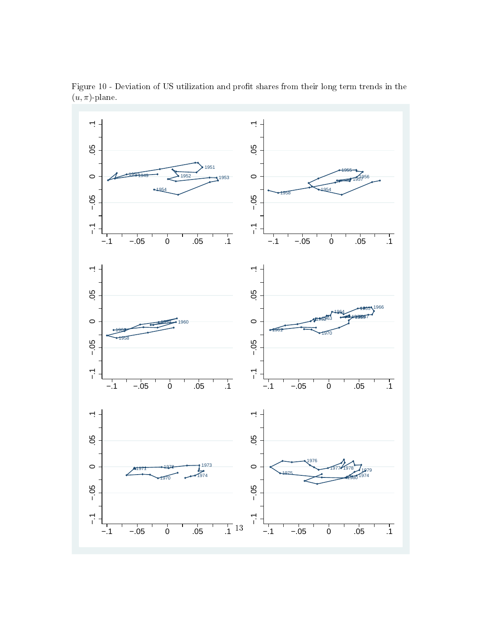

Figure 10 - Deviation of US utilization and profit shares from their long term trends in the  $(u,\pi)\mbox{-plane}.$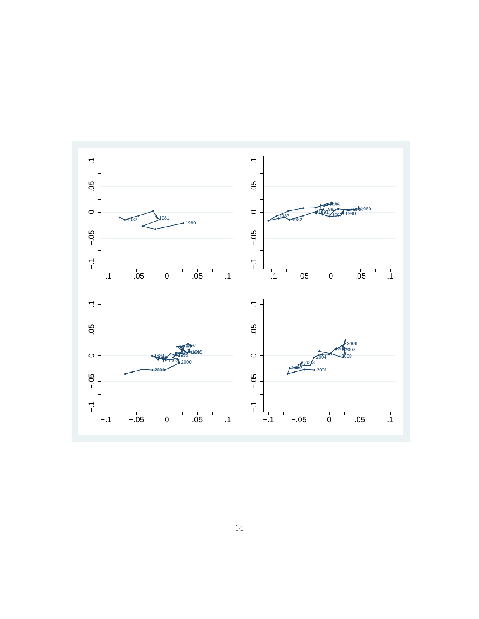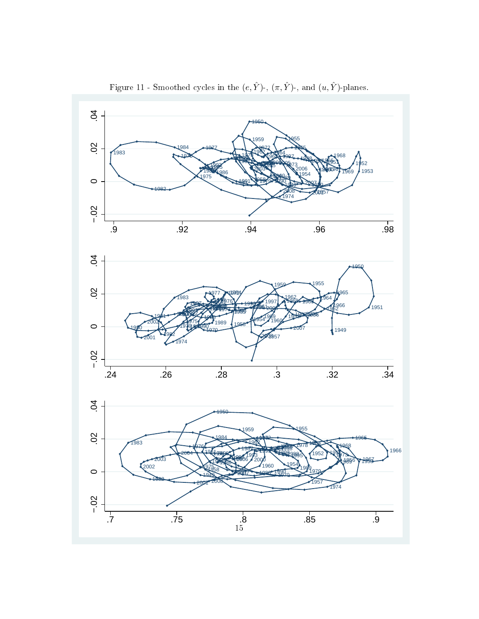

Figure 11 - Smoothed cycles in the  $(e,\hat Y)$  ,  $(\pi,\hat Y)$  , and  $(u,\hat Y)$  -planes.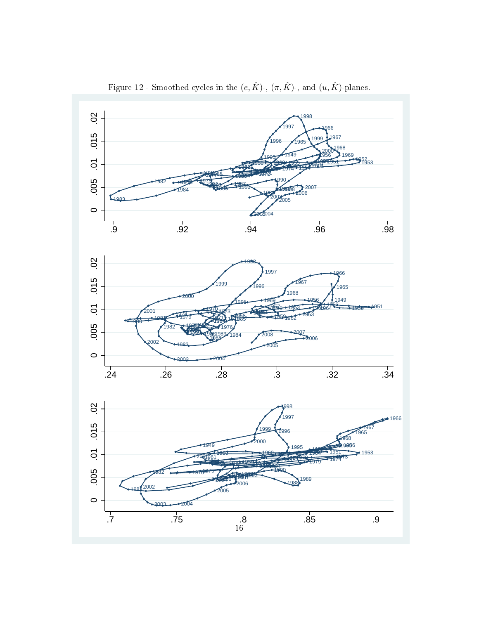

Figure 12 - Smoothed cycles in the  $(e,\hat{K})$  ,  $(\pi,\hat{K})$  , and  $(u,\hat{K})$  -planes.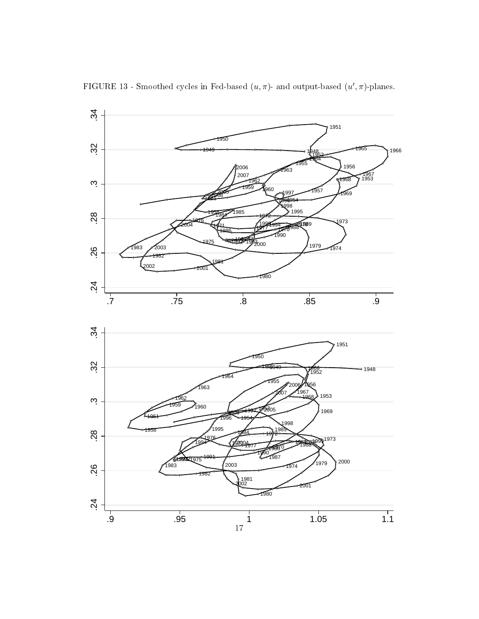

FIGURE 13 - Smoothed cycles in Fed-based  $(u, \pi)$ - and output-based  $(u', \pi)$ -planes.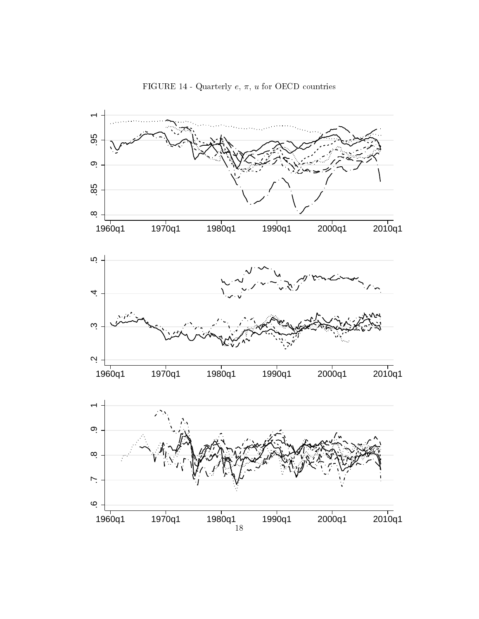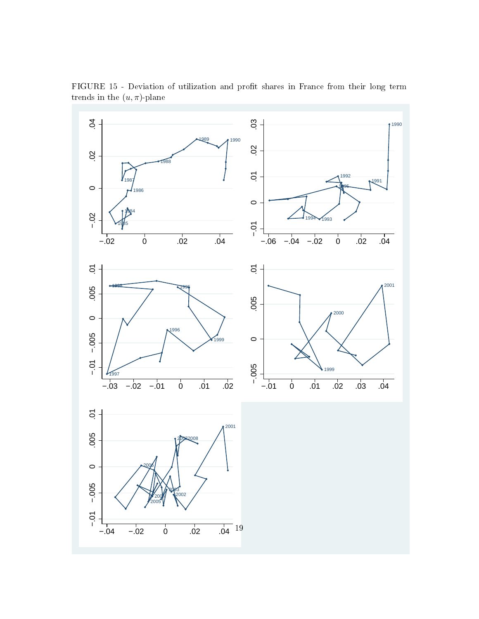

FIGURE 15 - Deviation of utilization and profit shares in France from their long term trends in the  $(u, \pi)$ -plane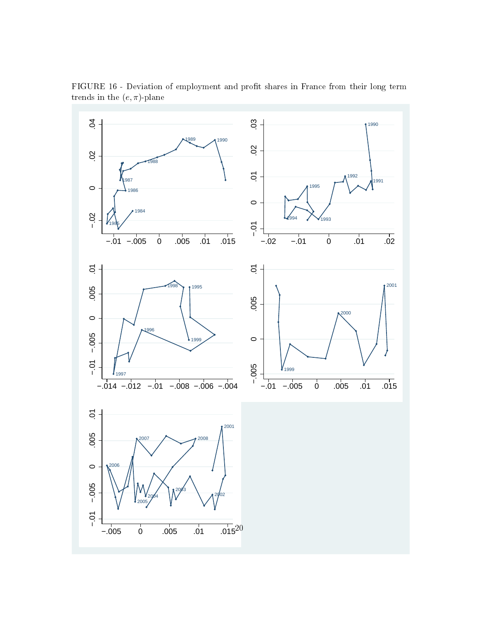

FIGURE 16 - Deviation of employment and profit shares in France from their long term trends in the  $(e, \pi)$ -plane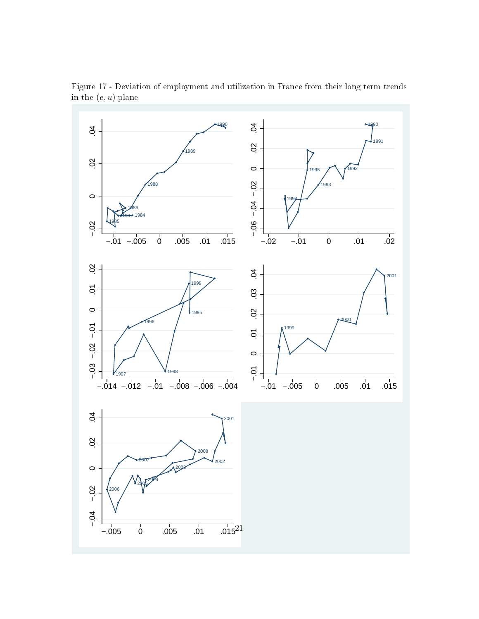

Figure 17 - Deviation of employment and utilization in France from their long term trends in the  $(e, u)$ -plane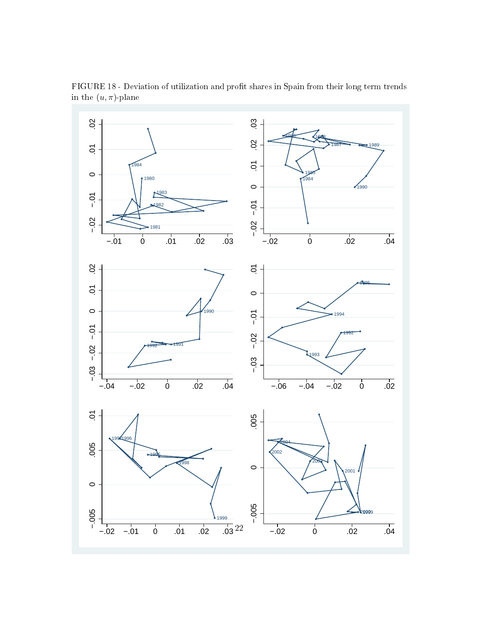

FIGURE 18 - Deviation of utilization and profit shares in Spain from their long term trends in the  $(u,\pi)\mbox{-}\text{plane}$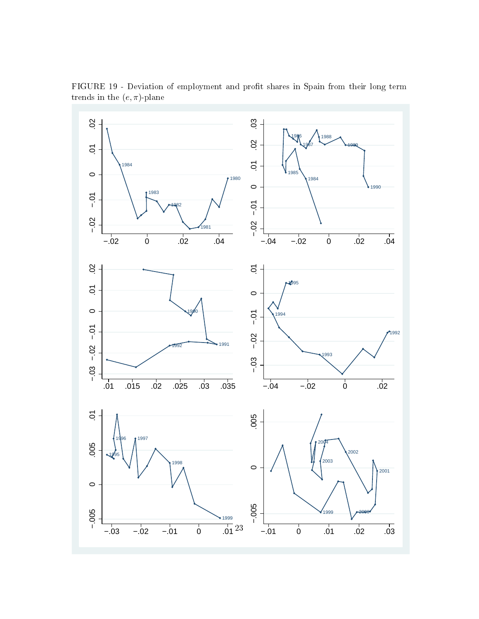

FIGURE 19 - Deviation of employment and profit shares in Spain from their long term trends in the  $(e, \pi)$ -plane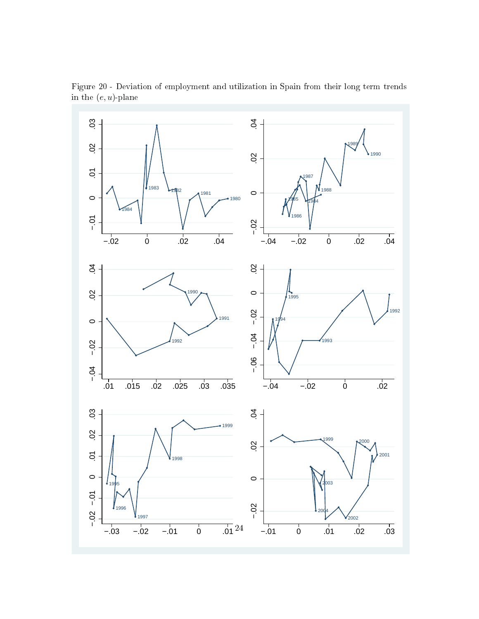

Figure 20 - Deviation of employment and utilization in Spain from their long term trends in the  $(e, u)$ -plane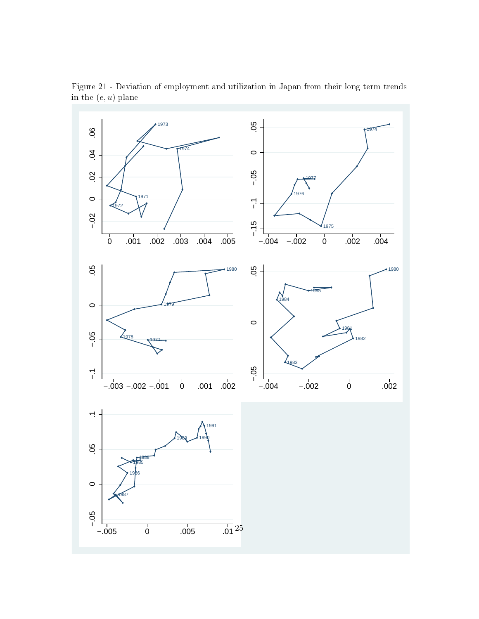

Figure 21 - Deviation of employment and utilization in Japan from their long term trends in the  $(e, u)$ -plane